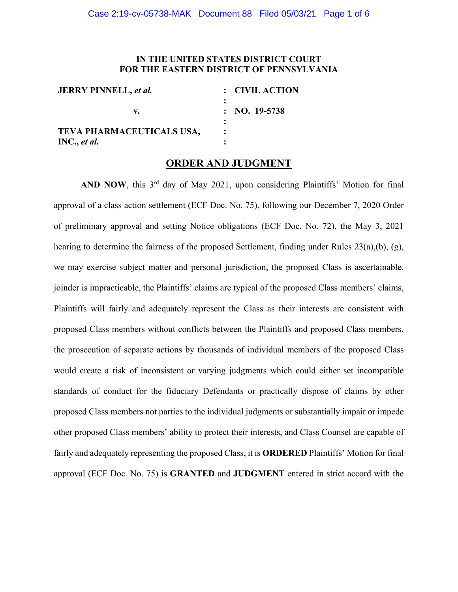# **IN THE UNITED STATES DISTRICT COURT FOR THE EASTERN DISTRICT OF PENNSYLVANIA**

| <b>JERRY PINNELL, et al.</b>              | : CIVIL ACTION          |
|-------------------------------------------|-------------------------|
| v.                                        | $: \text{NO. } 19-5738$ |
| TEVA PHARMACEUTICALS USA,<br>INC., et al. |                         |

# **ORDER AND JUDGMENT**

AND NOW, this 3<sup>rd</sup> day of May 2021, upon considering Plaintiffs' Motion for final approval of a class action settlement (ECF Doc. No. 75), following our December 7, 2020 Order of preliminary approval and setting Notice obligations (ECF Doc. No. 72), the May 3, 2021 hearing to determine the fairness of the proposed Settlement, finding under Rules 23(a),(b), (g), we may exercise subject matter and personal jurisdiction, the proposed Class is ascertainable, joinder is impracticable, the Plaintiffs' claims are typical of the proposed Class members' claims, Plaintiffs will fairly and adequately represent the Class as their interests are consistent with proposed Class members without conflicts between the Plaintiffs and proposed Class members, the prosecution of separate actions by thousands of individual members of the proposed Class would create a risk of inconsistent or varying judgments which could either set incompatible standards of conduct for the fiduciary Defendants or practically dispose of claims by other proposed Class members not parties to the individual judgments or substantially impair or impede other proposed Class members' ability to protect their interests, and Class Counsel are capable of fairly and adequately representing the proposed Class, it is **ORDERED** Plaintiffs' Motion for final approval (ECF Doc. No. 75) is **GRANTED** and **JUDGMENT** entered in strict accord with the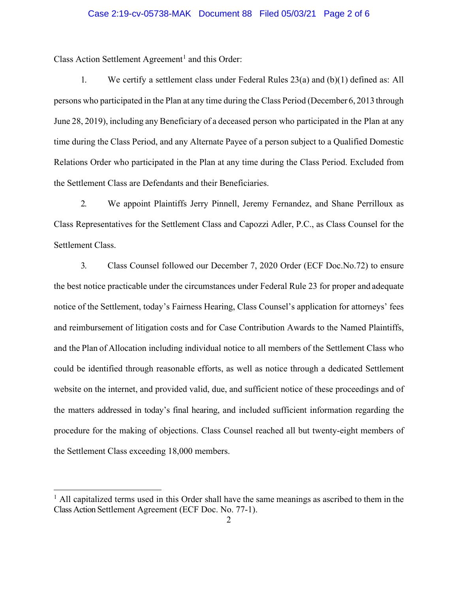## Case 2:19-cv-05738-MAK Document 88 Filed 05/03/21 Page 2 of 6

Class Action Settlement Agreement<sup>[1](#page-1-0)</sup> and this Order:

1. We certify a settlement class under Federal Rules 23(a) and (b)(1) defined as: All persons who participated in the Plan at any time during the Class Period (December 6, 2013 through June 28, 2019), including any Beneficiary of a deceased person who participated in the Plan at any time during the Class Period, and any Alternate Payee of a person subject to a Qualified Domestic Relations Order who participated in the Plan at any time during the Class Period. Excluded from the Settlement Class are Defendants and their Beneficiaries.

2. We appoint Plaintiffs Jerry Pinnell, Jeremy Fernandez, and Shane Perrilloux as Class Representatives for the Settlement Class and Capozzi Adler, P.C., as Class Counsel for the Settlement Class.

3. Class Counsel followed our December 7, 2020 Order (ECF Doc.No.72) to ensure the best notice practicable under the circumstances under Federal Rule 23 for proper and adequate notice of the Settlement, today's Fairness Hearing, Class Counsel's application for attorneys' fees and reimbursement of litigation costs and for Case Contribution Awards to the Named Plaintiffs, and the Plan of Allocation including individual notice to all members of the Settlement Class who could be identified through reasonable efforts, as well as notice through a dedicated Settlement website on the internet, and provided valid, due, and sufficient notice of these proceedings and of the matters addressed in today's final hearing, and included sufficient information regarding the procedure for the making of objections. Class Counsel reached all but twenty-eight members of the Settlement Class exceeding 18,000 members.

<span id="page-1-0"></span> $<sup>1</sup>$  All capitalized terms used in this Order shall have the same meanings as ascribed to them in the</sup> Class Action Settlement Agreement (ECF Doc. No. 77-1).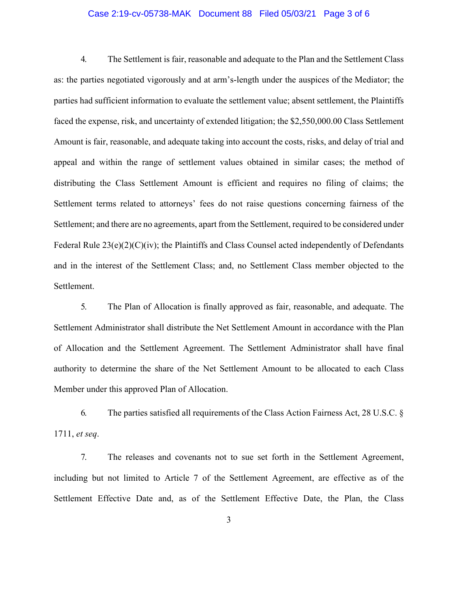## Case 2:19-cv-05738-MAK Document 88 Filed 05/03/21 Page 3 of 6

4. The Settlement is fair, reasonable and adequate to the Plan and the Settlement Class as: the parties negotiated vigorously and at arm's-length under the auspices of the Mediator; the parties had sufficient information to evaluate the settlement value; absent settlement, the Plaintiffs faced the expense, risk, and uncertainty of extended litigation; the \$2,550,000.00 Class Settlement Amount is fair, reasonable, and adequate taking into account the costs, risks, and delay of trial and appeal and within the range of settlement values obtained in similar cases; the method of distributing the Class Settlement Amount is efficient and requires no filing of claims; the Settlement terms related to attorneys' fees do not raise questions concerning fairness of the Settlement; and there are no agreements, apart from the Settlement, required to be considered under Federal Rule 23(e)(2)(C)(iv); the Plaintiffs and Class Counsel acted independently of Defendants and in the interest of the Settlement Class; and, no Settlement Class member objected to the Settlement.

5. The Plan of Allocation is finally approved as fair, reasonable, and adequate. The Settlement Administrator shall distribute the Net Settlement Amount in accordance with the Plan of Allocation and the Settlement Agreement. The Settlement Administrator shall have final authority to determine the share of the Net Settlement Amount to be allocated to each Class Member under this approved Plan of Allocation.

6. The parties satisfied all requirements of the Class Action Fairness Act, 28 U.S.C. § 1711, *et seq*.

7. The releases and covenants not to sue set forth in the Settlement Agreement, including but not limited to Article 7 of the Settlement Agreement, are effective as of the Settlement Effective Date and, as of the Settlement Effective Date, the Plan, the Class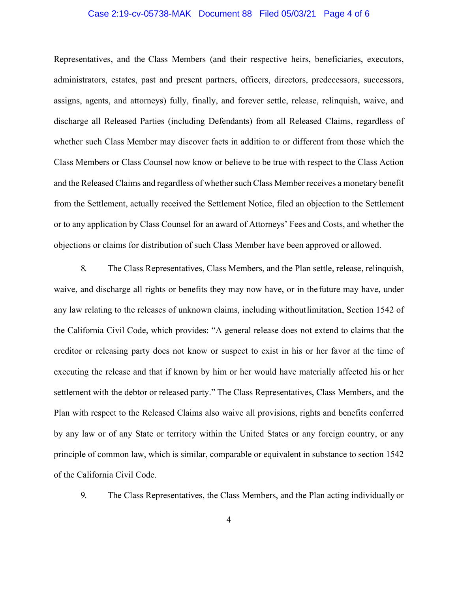## Case 2:19-cv-05738-MAK Document 88 Filed 05/03/21 Page 4 of 6

Representatives, and the Class Members (and their respective heirs, beneficiaries, executors, administrators, estates, past and present partners, officers, directors, predecessors, successors, assigns, agents, and attorneys) fully, finally, and forever settle, release, relinquish, waive, and discharge all Released Parties (including Defendants) from all Released Claims, regardless of whether such Class Member may discover facts in addition to or different from those which the Class Members or Class Counsel now know or believe to be true with respect to the Class Action and the Released Claims and regardless of whether such Class Member receives a monetary benefit from the Settlement, actually received the Settlement Notice, filed an objection to the Settlement or to any application by Class Counsel for an award of Attorneys' Fees and Costs, and whether the objections or claims for distribution of such Class Member have been approved or allowed.

8. The Class Representatives, Class Members, and the Plan settle, release, relinquish, waive, and discharge all rights or benefits they may now have, or in thefuture may have, under any law relating to the releases of unknown claims, including withoutlimitation, Section 1542 of the California Civil Code, which provides: "A general release does not extend to claims that the creditor or releasing party does not know or suspect to exist in his or her favor at the time of executing the release and that if known by him or her would have materially affected his or her settlement with the debtor or released party." The Class Representatives, Class Members, and the Plan with respect to the Released Claims also waive all provisions, rights and benefits conferred by any law or of any State or territory within the United States or any foreign country, or any principle of common law, which is similar, comparable or equivalent in substance to section 1542 of the California Civil Code.

9. The Class Representatives, the Class Members, and the Plan acting individually or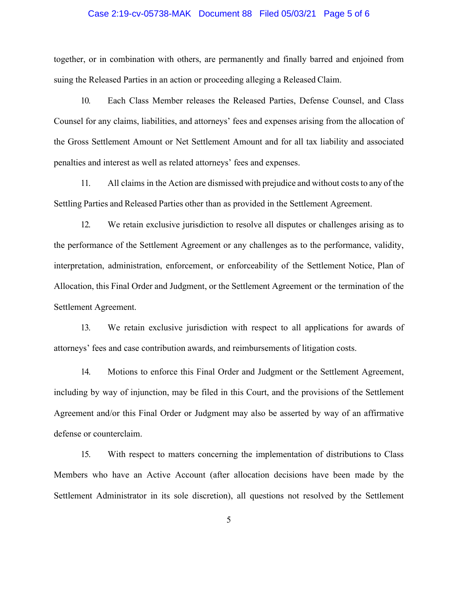### Case 2:19-cv-05738-MAK Document 88 Filed 05/03/21 Page 5 of 6

together, or in combination with others, are permanently and finally barred and enjoined from suing the Released Parties in an action or proceeding alleging a Released Claim.

10. Each Class Member releases the Released Parties, Defense Counsel, and Class Counsel for any claims, liabilities, and attorneys' fees and expenses arising from the allocation of the Gross Settlement Amount or Net Settlement Amount and for all tax liability and associated penalties and interest as well as related attorneys' fees and expenses.

11. All claims in the Action are dismissed with prejudice and without coststo any of the Settling Parties and Released Parties other than as provided in the Settlement Agreement.

12. We retain exclusive jurisdiction to resolve all disputes or challenges arising as to the performance of the Settlement Agreement or any challenges as to the performance, validity, interpretation, administration, enforcement, or enforceability of the Settlement Notice, Plan of Allocation, this Final Order and Judgment, or the Settlement Agreement or the termination of the Settlement Agreement.

13. We retain exclusive jurisdiction with respect to all applications for awards of attorneys' fees and case contribution awards, and reimbursements of litigation costs.

14. Motions to enforce this Final Order and Judgment or the Settlement Agreement, including by way of injunction, may be filed in this Court, and the provisions of the Settlement Agreement and/or this Final Order or Judgment may also be asserted by way of an affirmative defense or counterclaim.

15. With respect to matters concerning the implementation of distributions to Class Members who have an Active Account (after allocation decisions have been made by the Settlement Administrator in its sole discretion), all questions not resolved by the Settlement